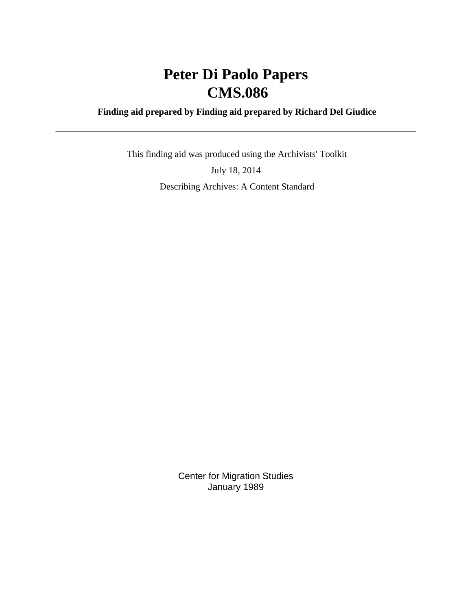# **Peter Di Paolo Papers CMS.086**

### **Finding aid prepared by Finding aid prepared by Richard Del Giudice**

 This finding aid was produced using the Archivists' Toolkit July 18, 2014 Describing Archives: A Content Standard

> Center for Migration Studies January 1989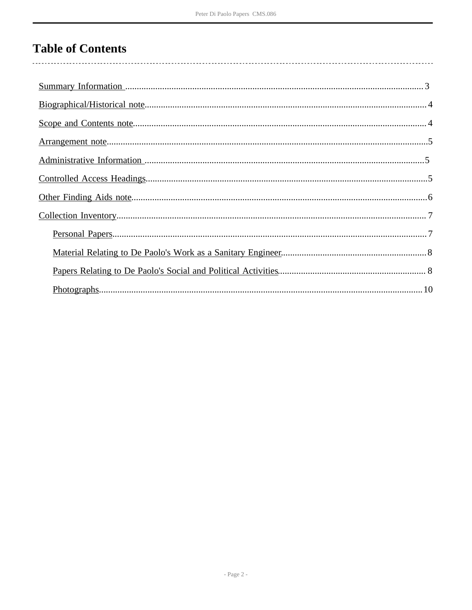# **Table of Contents**

| $Photographs 10$ |  |
|------------------|--|
|                  |  |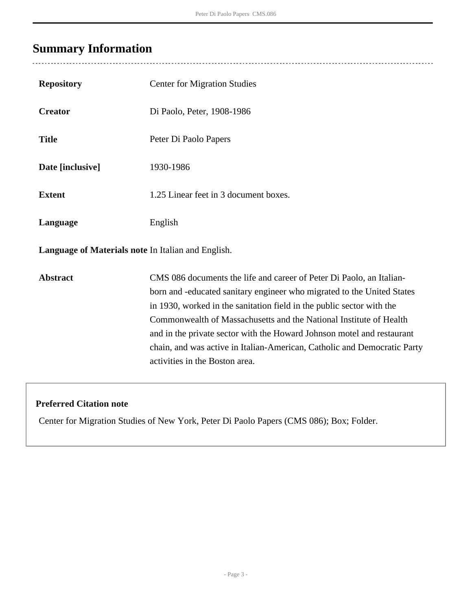# <span id="page-2-0"></span>**Summary Information**

 $\overline{a}$ 

| <b>Repository</b>                                  | <b>Center for Migration Studies</b>                                                                                                                                                                                                                                                                                                                                                                                                                                                   |  |  |
|----------------------------------------------------|---------------------------------------------------------------------------------------------------------------------------------------------------------------------------------------------------------------------------------------------------------------------------------------------------------------------------------------------------------------------------------------------------------------------------------------------------------------------------------------|--|--|
| <b>Creator</b>                                     | Di Paolo, Peter, 1908-1986                                                                                                                                                                                                                                                                                                                                                                                                                                                            |  |  |
| <b>Title</b>                                       | Peter Di Paolo Papers                                                                                                                                                                                                                                                                                                                                                                                                                                                                 |  |  |
| Date [inclusive]                                   | 1930-1986                                                                                                                                                                                                                                                                                                                                                                                                                                                                             |  |  |
| <b>Extent</b>                                      | 1.25 Linear feet in 3 document boxes.                                                                                                                                                                                                                                                                                                                                                                                                                                                 |  |  |
| Language                                           | English                                                                                                                                                                                                                                                                                                                                                                                                                                                                               |  |  |
| Language of Materials note In Italian and English. |                                                                                                                                                                                                                                                                                                                                                                                                                                                                                       |  |  |
| <b>Abstract</b>                                    | CMS 086 documents the life and career of Peter Di Paolo, an Italian-<br>born and -educated sanitary engineer who migrated to the United States<br>in 1930, worked in the sanitation field in the public sector with the<br>Commonwealth of Massachusetts and the National Institute of Health<br>and in the private sector with the Howard Johnson motel and restaurant<br>chain, and was active in Italian-American, Catholic and Democratic Party<br>activities in the Boston area. |  |  |

### **Preferred Citation note**

Center for Migration Studies of New York, Peter Di Paolo Papers (CMS 086); Box; Folder.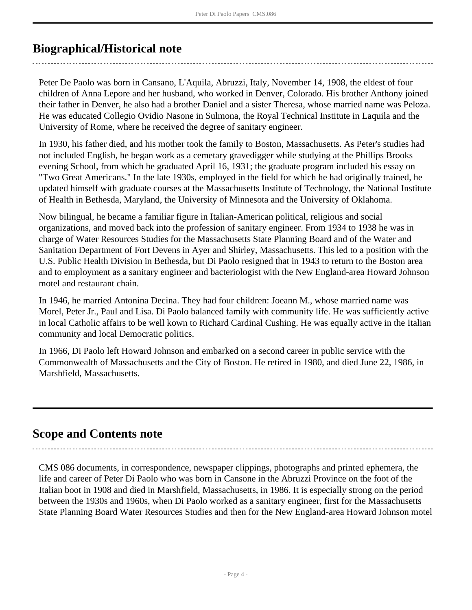## <span id="page-3-0"></span>**Biographical/Historical note**

Peter De Paolo was born in Cansano, L'Aquila, Abruzzi, Italy, November 14, 1908, the eldest of four children of Anna Lepore and her husband, who worked in Denver, Colorado. His brother Anthony joined their father in Denver, he also had a brother Daniel and a sister Theresa, whose married name was Peloza. He was educated Collegio Ovidio Nasone in Sulmona, the Royal Technical Institute in Laquila and the University of Rome, where he received the degree of sanitary engineer.

In 1930, his father died, and his mother took the family to Boston, Massachusetts. As Peter's studies had not included English, he began work as a cemetary gravedigger while studying at the Phillips Brooks evening School, from which he graduated April 16, 1931; the graduate program included his essay on "Two Great Americans." In the late 1930s, employed in the field for which he had originally trained, he updated himself with graduate courses at the Massachusetts Institute of Technology, the National Institute of Health in Bethesda, Maryland, the University of Minnesota and the University of Oklahoma.

Now bilingual, he became a familiar figure in Italian-American political, religious and social organizations, and moved back into the profession of sanitary engineer. From 1934 to 1938 he was in charge of Water Resources Studies for the Massachusetts State Planning Board and of the Water and Sanitation Department of Fort Devens in Ayer and Shirley, Massachusetts. This led to a position with the U.S. Public Health Division in Bethesda, but Di Paolo resigned that in 1943 to return to the Boston area and to employment as a sanitary engineer and bacteriologist with the New England-area Howard Johnson motel and restaurant chain.

In 1946, he married Antonina Decina. They had four children: Joeann M., whose married name was Morel, Peter Jr., Paul and Lisa. Di Paolo balanced family with community life. He was sufficiently active in local Catholic affairs to be well kown to Richard Cardinal Cushing. He was equally active in the Italian community and local Democratic politics.

In 1966, Di Paolo left Howard Johnson and embarked on a second career in public service with the Commonwealth of Massachusetts and the City of Boston. He retired in 1980, and died June 22, 1986, in Marshfield, Massachusetts.

## <span id="page-3-1"></span>**Scope and Contents note**

CMS 086 documents, in correspondence, newspaper clippings, photographs and printed ephemera, the life and career of Peter Di Paolo who was born in Cansone in the Abruzzi Province on the foot of the Italian boot in 1908 and died in Marshfield, Massachusetts, in 1986. It is especially strong on the period between the 1930s and 1960s, when Di Paolo worked as a sanitary engineer, first for the Massachusetts State Planning Board Water Resources Studies and then for the New England-area Howard Johnson motel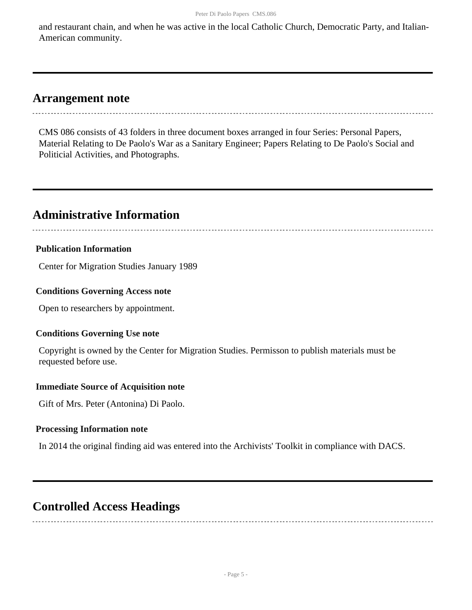and restaurant chain, and when he was active in the local Catholic Church, Democratic Party, and Italian-American community.

## <span id="page-4-0"></span>**Arrangement note**

CMS 086 consists of 43 folders in three document boxes arranged in four Series: Personal Papers, Material Relating to De Paolo's War as a Sanitary Engineer; Papers Relating to De Paolo's Social and Politicial Activities, and Photographs.

# <span id="page-4-1"></span>**Administrative Information**

#### **Publication Information**

Center for Migration Studies January 1989

#### **Conditions Governing Access note**

Open to researchers by appointment.

#### **Conditions Governing Use note**

Copyright is owned by the Center for Migration Studies. Permisson to publish materials must be requested before use.

#### **Immediate Source of Acquisition note**

Gift of Mrs. Peter (Antonina) Di Paolo.

#### **Processing Information note**

In 2014 the original finding aid was entered into the Archivists' Toolkit in compliance with DACS.

## <span id="page-4-2"></span>**Controlled Access Headings**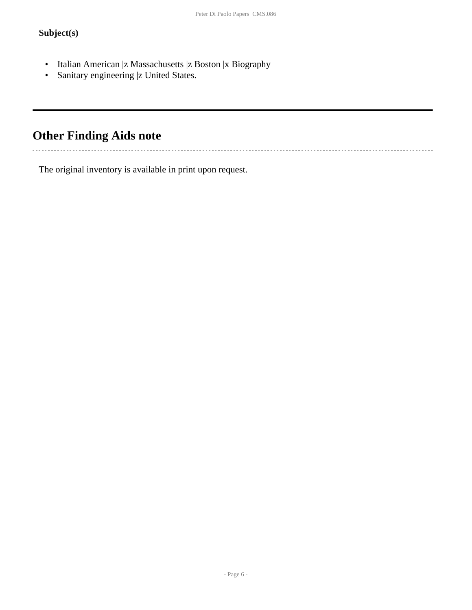### **Subject(s)**

- Italian American |z Massachusetts |z Boston |x Biography
- Sanitary engineering |z United States.

# <span id="page-5-0"></span>**Other Finding Aids note**

The original inventory is available in print upon request.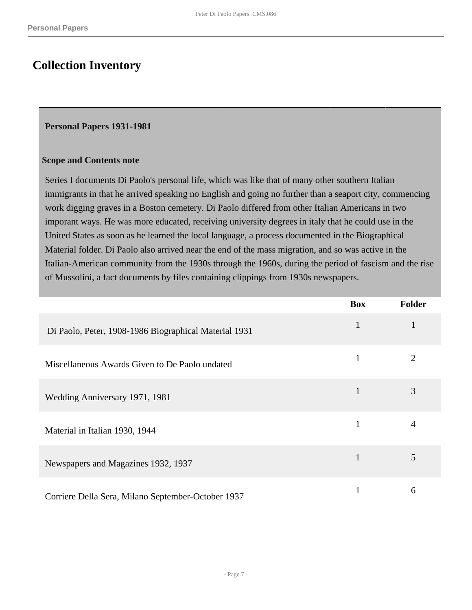## <span id="page-6-0"></span>**Collection Inventory**

#### <span id="page-6-1"></span>**Personal Papers 1931-1981**

#### **Scope and Contents note**

Series I documents Di Paolo's personal life, which was like that of many other southern Italian immigrants in that he arrived speaking no English and going no further than a seaport city, commencing work digging graves in a Boston cemetery. Di Paolo differed from other Italian Americans in two imporant ways. He was more educated, receiving university degrees in italy that he could use in the United States as soon as he learned the local language, a process documented in the Biographical Material folder. Di Paolo also arrived near the end of the mass migration, and so was active in the Italian-American community from the 1930s through the 1960s, during the period of fascism and the rise of Mussolini, a fact documents by files containing clippings from 1930s newspapers.

|                                                       | <b>Box</b>   | <b>Folder</b>  |
|-------------------------------------------------------|--------------|----------------|
| Di Paolo, Peter, 1908-1986 Biographical Material 1931 | $\mathbf{1}$ | $\mathbf{1}$   |
| Miscellaneous Awards Given to De Paolo undated        | 1            | $\overline{2}$ |
| Wedding Anniversary 1971, 1981                        | 1            | 3              |
| Material in Italian 1930, 1944                        |              | $\overline{4}$ |
| Newspapers and Magazines 1932, 1937                   |              | 5              |
| Corriere Della Sera, Milano September-October 1937    |              | 6              |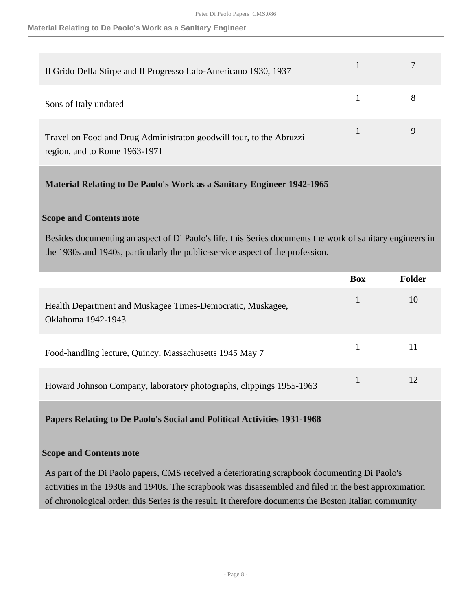**Material Relating to De Paolo's Work as a Sanitary Engineer**

| Il Grido Della Stirpe and Il Progresso Italo-Americano 1930, 1937                                    |  |
|------------------------------------------------------------------------------------------------------|--|
| Sons of Italy undated                                                                                |  |
| Travel on Food and Drug Administraton goodwill tour, to the Abruzzi<br>region, and to Rome 1963-1971 |  |

<span id="page-7-0"></span>**Material Relating to De Paolo's Work as a Sanitary Engineer 1942-1965** 

#### **Scope and Contents note**

Besides documenting an aspect of Di Paolo's life, this Series documents the work of sanitary engineers in the 1930s and 1940s, particularly the public-service aspect of the profession.

|                                                                                  | <b>Box</b> | Folder |
|----------------------------------------------------------------------------------|------------|--------|
| Health Department and Muskagee Times-Democratic, Muskagee,<br>Oklahoma 1942-1943 |            | 10     |
| Food-handling lecture, Quincy, Massachusetts 1945 May 7                          |            | 11     |
| Howard Johnson Company, laboratory photographs, clippings 1955-1963              |            | 12     |

<span id="page-7-1"></span>**Papers Relating to De Paolo's Social and Political Activities 1931-1968** 

#### **Scope and Contents note**

As part of the Di Paolo papers, CMS received a deteriorating scrapbook documenting Di Paolo's activities in the 1930s and 1940s. The scrapbook was disassembled and filed in the best approximation of chronological order; this Series is the result. It therefore documents the Boston Italian community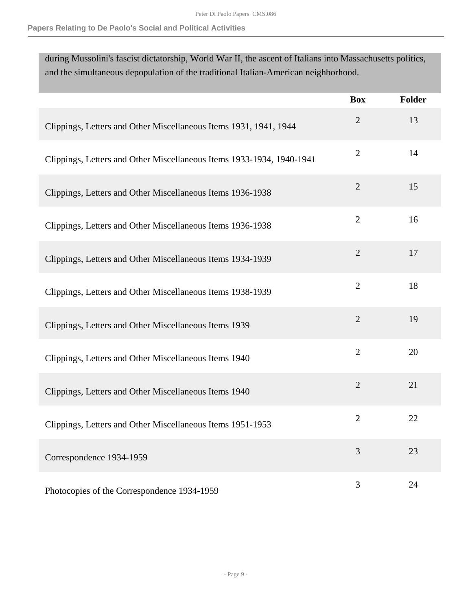#### **Papers Relating to De Paolo's Social and Political Activities**

during Mussolini's fascist dictatorship, World War II, the ascent of Italians into Massachusetts politics, and the simultaneous depopulation of the traditional Italian-American neighborhood.

|                                                                       | <b>Box</b>     | <b>Folder</b> |
|-----------------------------------------------------------------------|----------------|---------------|
| Clippings, Letters and Other Miscellaneous Items 1931, 1941, 1944     | $\overline{2}$ | 13            |
| Clippings, Letters and Other Miscellaneous Items 1933-1934, 1940-1941 | $\overline{2}$ | 14            |
| Clippings, Letters and Other Miscellaneous Items 1936-1938            | $\overline{2}$ | 15            |
| Clippings, Letters and Other Miscellaneous Items 1936-1938            | $\overline{2}$ | 16            |
| Clippings, Letters and Other Miscellaneous Items 1934-1939            | $\sqrt{2}$     | 17            |
| Clippings, Letters and Other Miscellaneous Items 1938-1939            | $\overline{2}$ | 18            |
| Clippings, Letters and Other Miscellaneous Items 1939                 | $\overline{2}$ | 19            |
| Clippings, Letters and Other Miscellaneous Items 1940                 | $\overline{2}$ | 20            |
| Clippings, Letters and Other Miscellaneous Items 1940                 | $\overline{2}$ | 21            |
| Clippings, Letters and Other Miscellaneous Items 1951-1953            | $\overline{2}$ | 22            |
| Correspondence 1934-1959                                              | 3              | 23            |
| Photocopies of the Correspondence 1934-1959                           | 3              | 24            |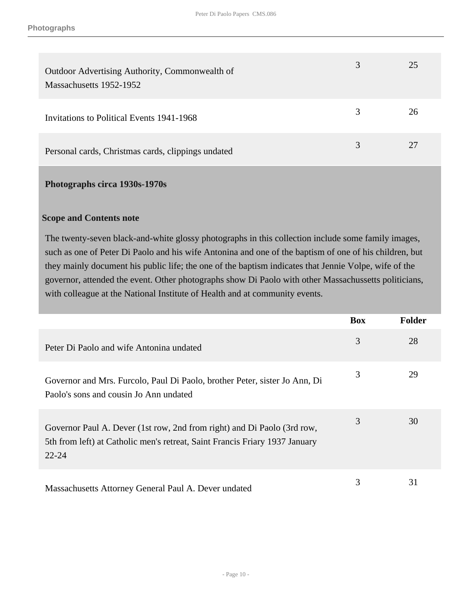| Outdoor Advertising Authority, Commonwealth of<br>Massachusetts 1952-1952 |   | 25 |
|---------------------------------------------------------------------------|---|----|
| Invitations to Political Events 1941-1968                                 | 3 | 26 |
| Personal cards, Christmas cards, clippings undated                        |   | 27 |

#### <span id="page-9-0"></span>**Photographs circa 1930s-1970s**

#### **Scope and Contents note**

The twenty-seven black-and-white glossy photographs in this collection include some family images, such as one of Peter Di Paolo and his wife Antonina and one of the baptism of one of his children, but they mainly document his public life; the one of the baptism indicates that Jennie Volpe, wife of the governor, attended the event. Other photographs show Di Paolo with other Massachussetts politicians, with colleague at the National Institute of Health and at community events.

|                                                                                                                                                                     | <b>Box</b> | <b>Folder</b> |
|---------------------------------------------------------------------------------------------------------------------------------------------------------------------|------------|---------------|
| Peter Di Paolo and wife Antonina undated                                                                                                                            | 3          | 28            |
| Governor and Mrs. Furcolo, Paul Di Paolo, brother Peter, sister Jo Ann, Di<br>Paolo's sons and cousin Jo Ann undated                                                | 3          | 29            |
| Governor Paul A. Dever (1st row, 2nd from right) and Di Paolo (3rd row,<br>5th from left) at Catholic men's retreat, Saint Francis Friary 1937 January<br>$22 - 24$ | 3          | 30            |
| Massachusetts Attorney General Paul A. Dever undated                                                                                                                | 3          | 31            |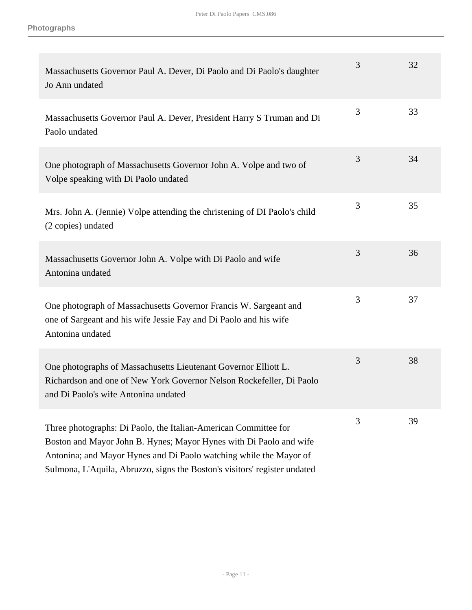| Massachusetts Governor Paul A. Dever, Di Paolo and Di Paolo's daughter<br>Jo Ann undated                                                                                                                                                                                                 | 3 | 32 |
|------------------------------------------------------------------------------------------------------------------------------------------------------------------------------------------------------------------------------------------------------------------------------------------|---|----|
| Massachusetts Governor Paul A. Dever, President Harry S Truman and Di<br>Paolo undated                                                                                                                                                                                                   | 3 | 33 |
| One photograph of Massachusetts Governor John A. Volpe and two of<br>Volpe speaking with Di Paolo undated                                                                                                                                                                                | 3 | 34 |
| Mrs. John A. (Jennie) Volpe attending the christening of DI Paolo's child<br>(2 copies) undated                                                                                                                                                                                          | 3 | 35 |
| Massachusetts Governor John A. Volpe with Di Paolo and wife<br>Antonina undated                                                                                                                                                                                                          | 3 | 36 |
| One photograph of Massachusetts Governor Francis W. Sargeant and<br>one of Sargeant and his wife Jessie Fay and Di Paolo and his wife<br>Antonina undated                                                                                                                                | 3 | 37 |
| One photographs of Massachusetts Lieutenant Governor Elliott L.<br>Richardson and one of New York Governor Nelson Rockefeller, Di Paolo<br>and Di Paolo's wife Antonina undated                                                                                                          | 3 | 38 |
| Three photographs: Di Paolo, the Italian-American Committee for<br>Boston and Mayor John B. Hynes; Mayor Hynes with Di Paolo and wife<br>Antonina; and Mayor Hynes and Di Paolo watching while the Mayor of<br>Sulmona, L'Aquila, Abruzzo, signs the Boston's visitors' register undated | 3 | 39 |